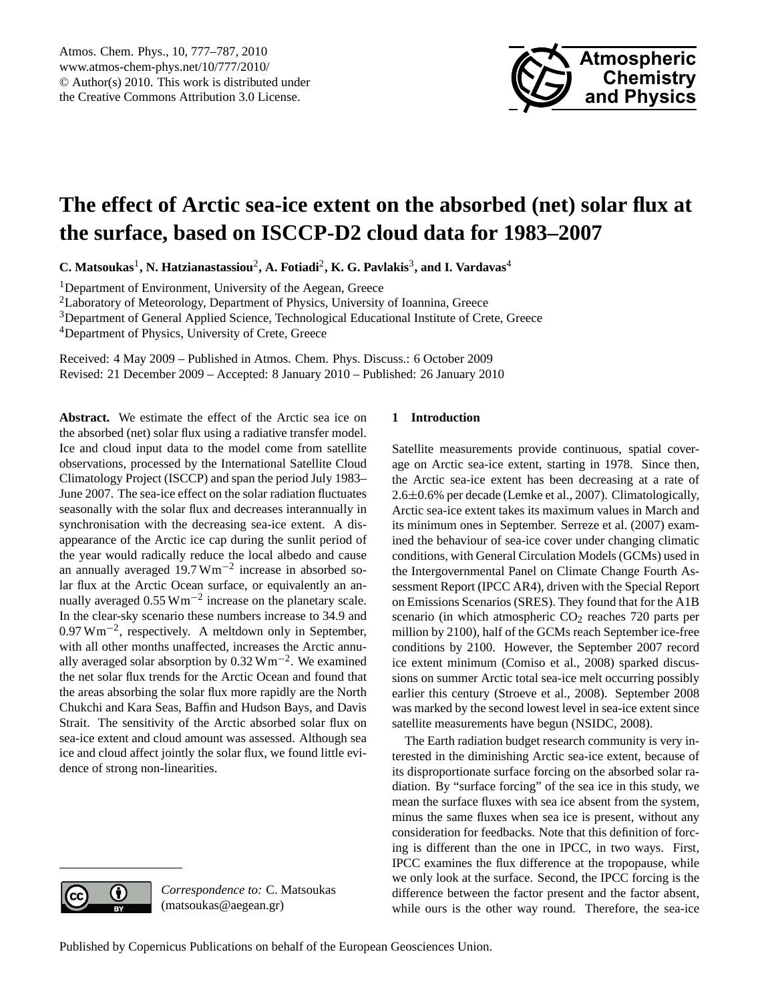

# <span id="page-0-0"></span>**The effect of Arctic sea-ice extent on the absorbed (net) solar flux at the surface, based on ISCCP-D2 cloud data for 1983–2007**

C. Matsoukas<sup>1</sup>, N. Hatzianastassiou<sup>2</sup>, A. Fotiadi<sup>2</sup>, K. G. Pavlakis<sup>3</sup>, and I. Vardavas<sup>4</sup>

<sup>1</sup>Department of Environment, University of the Aegean, Greece

<sup>2</sup>Laboratory of Meteorology, Department of Physics, University of Ioannina, Greece

<sup>3</sup>Department of General Applied Science, Technological Educational Institute of Crete, Greece

<sup>4</sup>Department of Physics, University of Crete, Greece

Received: 4 May 2009 – Published in Atmos. Chem. Phys. Discuss.: 6 October 2009 Revised: 21 December 2009 – Accepted: 8 January 2010 – Published: 26 January 2010

**Abstract.** We estimate the effect of the Arctic sea ice on the absorbed (net) solar flux using a radiative transfer model. Ice and cloud input data to the model come from satellite observations, processed by the International Satellite Cloud Climatology Project (ISCCP) and span the period July 1983– June 2007. The sea-ice effect on the solar radiation fluctuates seasonally with the solar flux and decreases interannually in synchronisation with the decreasing sea-ice extent. A disappearance of the Arctic ice cap during the sunlit period of the year would radically reduce the local albedo and cause an annually averaged 19.7 Wm−<sup>2</sup> increase in absorbed solar flux at the Arctic Ocean surface, or equivalently an annually averaged 0.55 Wm<sup>-2</sup> increase on the planetary scale. In the clear-sky scenario these numbers increase to 34.9 and  $0.97 \text{ W m}^{-2}$ , respectively. A meltdown only in September, with all other months unaffected, increases the Arctic annually averaged solar absorption by  $0.32 \text{ Wm}^{-2}$ . We examined the net solar flux trends for the Arctic Ocean and found that the areas absorbing the solar flux more rapidly are the North Chukchi and Kara Seas, Baffin and Hudson Bays, and Davis Strait. The sensitivity of the Arctic absorbed solar flux on sea-ice extent and cloud amount was assessed. Although sea ice and cloud affect jointly the solar flux, we found little evidence of strong non-linearities.

# **1 Introduction**

Satellite measurements provide continuous, spatial coverage on Arctic sea-ice extent, starting in 1978. Since then, the Arctic sea-ice extent has been decreasing at a rate of 2.6±0.6% per decade [\(Lemke et al.,](#page-10-0) [2007\)](#page-10-0). Climatologically, Arctic sea-ice extent takes its maximum values in March and its minimum ones in September. [Serreze et al.](#page-10-1) [\(2007\)](#page-10-1) examined the behaviour of sea-ice cover under changing climatic conditions, with General Circulation Models (GCMs) used in the Intergovernmental Panel on Climate Change Fourth Assessment Report (IPCC AR4), driven with the Special Report on Emissions Scenarios (SRES). They found that for the A1B scenario (in which atmospheric  $CO<sub>2</sub>$  reaches 720 parts per million by 2100), half of the GCMs reach September ice-free conditions by 2100. However, the September 2007 record ice extent minimum [\(Comiso et al.,](#page-9-0) [2008\)](#page-9-0) sparked discussions on summer Arctic total sea-ice melt occurring possibly earlier this century [\(Stroeve et al.,](#page-10-2) [2008\)](#page-10-2). September 2008 was marked by the second lowest level in sea-ice extent since satellite measurements have begun [\(NSIDC,](#page-10-3) [2008\)](#page-10-3).

The Earth radiation budget research community is very interested in the diminishing Arctic sea-ice extent, because of its disproportionate surface forcing on the absorbed solar radiation. By "surface forcing" of the sea ice in this study, we mean the surface fluxes with sea ice absent from the system, minus the same fluxes when sea ice is present, without any consideration for feedbacks. Note that this definition of forcing is different than the one in IPCC, in two ways. First, IPCC examines the flux difference at the tropopause, while we only look at the surface. Second, the IPCC forcing is the difference between the factor present and the factor absent, while ours is the other way round. Therefore, the sea-ice



*Correspondence to:* C. Matsoukas (matsoukas@aegean.gr)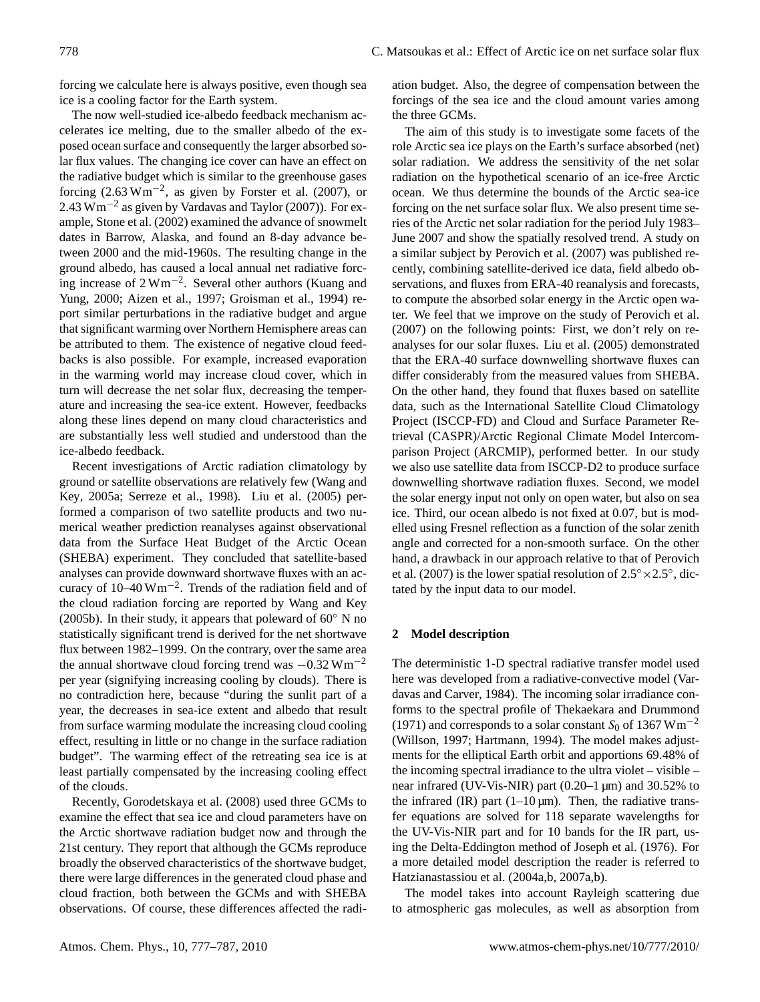forcing we calculate here is always positive, even though sea ice is a cooling factor for the Earth system.

The now well-studied ice-albedo feedback mechanism accelerates ice melting, due to the smaller albedo of the exposed ocean surface and consequently the larger absorbed solar flux values. The changing ice cover can have an effect on the radiative budget which is similar to the greenhouse gases forcing  $(2.63 \text{ Wm}^{-2})$ , as given by [Forster et al.](#page-9-1) [\(2007\)](#page-9-1), or 2.43 Wm−<sup>2</sup> as given by [Vardavas and Taylor](#page-10-4) [\(2007\)](#page-10-4)). For example, [Stone et al.](#page-10-5) [\(2002\)](#page-10-5) examined the advance of snowmelt dates in Barrow, Alaska, and found an 8-day advance between 2000 and the mid-1960s. The resulting change in the ground albedo, has caused a local annual net radiative forcing increase of 2 Wm−<sup>2</sup> . Several other authors [\(Kuang and](#page-10-6) [Yung,](#page-10-6) [2000;](#page-10-6) [Aizen et al.,](#page-9-2) [1997;](#page-9-2) [Groisman et al.,](#page-9-3) [1994\)](#page-9-3) report similar perturbations in the radiative budget and argue that significant warming over Northern Hemisphere areas can be attributed to them. The existence of negative cloud feedbacks is also possible. For example, increased evaporation in the warming world may increase cloud cover, which in turn will decrease the net solar flux, decreasing the temperature and increasing the sea-ice extent. However, feedbacks along these lines depend on many cloud characteristics and are substantially less well studied and understood than the ice-albedo feedback.

Recent investigations of Arctic radiation climatology by ground or satellite observations are relatively few [\(Wang and](#page-10-7) [Key,](#page-10-7) [2005a;](#page-10-7) [Serreze et al.,](#page-10-8) [1998\)](#page-10-8). [Liu et al.](#page-10-9) [\(2005\)](#page-10-9) performed a comparison of two satellite products and two numerical weather prediction reanalyses against observational data from the Surface Heat Budget of the Arctic Ocean (SHEBA) experiment. They concluded that satellite-based analyses can provide downward shortwave fluxes with an accuracy of  $10-40 \text{ Wm}^{-2}$ . Trends of the radiation field and of the cloud radiation forcing are reported by [Wang and Key](#page-10-10) [\(2005b\)](#page-10-10). In their study, it appears that poleward of 60◦ N no statistically significant trend is derived for the net shortwave flux between 1982–1999. On the contrary, over the same area the annual shortwave cloud forcing trend was  $-0.32$  Wm<sup>-2</sup> per year (signifying increasing cooling by clouds). There is no contradiction here, because "during the sunlit part of a year, the decreases in sea-ice extent and albedo that result from surface warming modulate the increasing cloud cooling effect, resulting in little or no change in the surface radiation budget". The warming effect of the retreating sea ice is at least partially compensated by the increasing cooling effect of the clouds.

Recently, [Gorodetskaya et al.](#page-9-4) [\(2008\)](#page-9-4) used three GCMs to examine the effect that sea ice and cloud parameters have on the Arctic shortwave radiation budget now and through the 21st century. They report that although the GCMs reproduce broadly the observed characteristics of the shortwave budget, there were large differences in the generated cloud phase and cloud fraction, both between the GCMs and with SHEBA observations. Of course, these differences affected the radiation budget. Also, the degree of compensation between the forcings of the sea ice and the cloud amount varies among the three GCMs.

The aim of this study is to investigate some facets of the role Arctic sea ice plays on the Earth's surface absorbed (net) solar radiation. We address the sensitivity of the net solar radiation on the hypothetical scenario of an ice-free Arctic ocean. We thus determine the bounds of the Arctic sea-ice forcing on the net surface solar flux. We also present time series of the Arctic net solar radiation for the period July 1983– June 2007 and show the spatially resolved trend. A study on a similar subject by [Perovich et al.](#page-10-11) [\(2007\)](#page-10-11) was published recently, combining satellite-derived ice data, field albedo observations, and fluxes from ERA-40 reanalysis and forecasts, to compute the absorbed solar energy in the Arctic open water. We feel that we improve on the study of [Perovich et al.](#page-10-11) [\(2007\)](#page-10-11) on the following points: First, we don't rely on reanalyses for our solar fluxes. [Liu et al.](#page-10-9) [\(2005\)](#page-10-9) demonstrated that the ERA-40 surface downwelling shortwave fluxes can differ considerably from the measured values from SHEBA. On the other hand, they found that fluxes based on satellite data, such as the International Satellite Cloud Climatology Project (ISCCP-FD) and Cloud and Surface Parameter Retrieval (CASPR)/Arctic Regional Climate Model Intercomparison Project (ARCMIP), performed better. In our study we also use satellite data from ISCCP-D2 to produce surface downwelling shortwave radiation fluxes. Second, we model the solar energy input not only on open water, but also on sea ice. Third, our ocean albedo is not fixed at 0.07, but is modelled using Fresnel reflection as a function of the solar zenith angle and corrected for a non-smooth surface. On the other hand, a drawback in our approach relative to that of [Perovich](#page-10-11) [et al.](#page-10-11) [\(2007\)](#page-10-11) is the lower spatial resolution of  $2.5^{\circ} \times 2.5^{\circ}$ , dictated by the input data to our model.

## **2 Model description**

The deterministic 1-D spectral radiative transfer model used here was developed from a radiative-convective model [\(Var](#page-10-12)[davas and Carver,](#page-10-12) [1984\)](#page-10-12). The incoming solar irradiance conforms to the spectral profile of [Thekaekara and Drummond](#page-10-13) [\(1971\)](#page-10-13) and corresponds to a solar constant  $S_0$  of 1367 Wm<sup>-2</sup> [\(Willson,](#page-10-14) [1997;](#page-10-14) [Hartmann,](#page-9-5) [1994\)](#page-9-5). The model makes adjustments for the elliptical Earth orbit and apportions 69.48% of the incoming spectral irradiance to the ultra violet – visible – near infrared (UV-Vis-NIR) part (0.20–1 µm) and 30.52% to the infrared (IR) part  $(1-10 \,\mu\text{m})$ . Then, the radiative transfer equations are solved for 118 separate wavelengths for the UV-Vis-NIR part and for 10 bands for the IR part, using the Delta-Eddington method of [Joseph et al.](#page-10-15) [\(1976\)](#page-10-15). For a more detailed model description the reader is referred to [Hatzianastassiou et al.](#page-10-16) [\(2004a,](#page-10-16)[b,](#page-10-17) [2007a,](#page-10-18)[b\)](#page-10-19).

The model takes into account Rayleigh scattering due to atmospheric gas molecules, as well as absorption from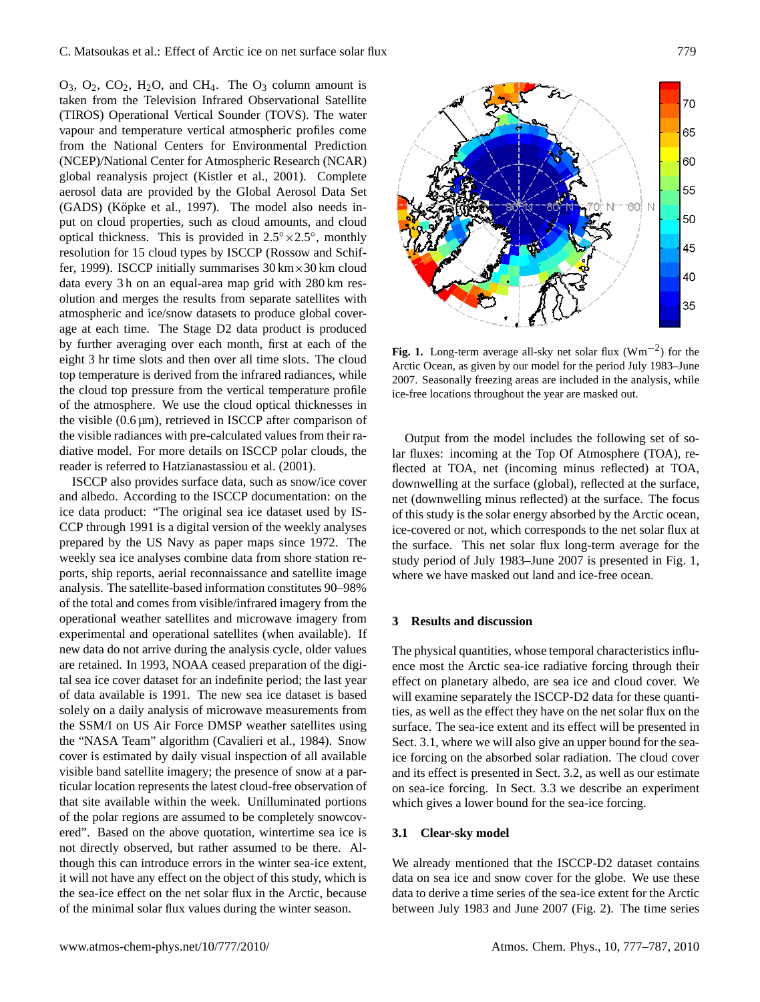$O_3$ ,  $O_2$ ,  $CO_2$ ,  $H_2O$ , and  $CH_4$ . The  $O_3$  column amount is taken from the Television Infrared Observational Satellite (TIROS) Operational Vertical Sounder (TOVS). The water vapour and temperature vertical atmospheric profiles come from the National Centers for Environmental Prediction (NCEP)/National Center for Atmospheric Research (NCAR) global reanalysis project [\(Kistler et al.,](#page-10-20) [2001\)](#page-10-20). Complete aerosol data are provided by the Global Aerosol Data Set (GADS) (Köpke et al., [1997\)](#page-10-21). The model also needs input on cloud properties, such as cloud amounts, and cloud optical thickness. This is provided in  $2.5^\circ \times 2.5^\circ$ , monthly resolution for 15 cloud types by ISCCP [\(Rossow and Schif](#page-10-22)[fer,](#page-10-22) [1999\)](#page-10-22). ISCCP initially summarises 30 km×30 km cloud data every 3 h on an equal-area map grid with 280 km resolution and merges the results from separate satellites with atmospheric and ice/snow datasets to produce global coverage at each time. The Stage D2 data product is produced by further averaging over each month, first at each of the eight 3 hr time slots and then over all time slots. The cloud top temperature is derived from the infrared radiances, while the cloud top pressure from the vertical temperature profile of the atmosphere. We use the cloud optical thicknesses in the visible  $(0.6 \,\text{\mu m})$ , retrieved in ISCCP after comparison of the visible radiances with pre-calculated values from their radiative model. For more details on ISCCP polar clouds, the reader is referred to [Hatzianastassiou et al.](#page-10-23) [\(2001\)](#page-10-23).

ISCCP also provides surface data, such as snow/ice cover and albedo. According to the ISCCP documentation: on the ice data product: "The original sea ice dataset used by IS-CCP through 1991 is a digital version of the weekly analyses prepared by the US Navy as paper maps since 1972. The weekly sea ice analyses combine data from shore station reports, ship reports, aerial reconnaissance and satellite image analysis. The satellite-based information constitutes 90–98% of the total and comes from visible/infrared imagery from the operational weather satellites and microwave imagery from experimental and operational satellites (when available). If new data do not arrive during the analysis cycle, older values are retained. In 1993, NOAA ceased preparation of the digital sea ice cover dataset for an indefinite period; the last year of data available is 1991. The new sea ice dataset is based solely on a daily analysis of microwave measurements from the SSM/I on US Air Force DMSP weather satellites using the "NASA Team" algorithm [\(Cavalieri et al.,](#page-9-6) [1984\)](#page-9-6). Snow cover is estimated by daily visual inspection of all available visible band satellite imagery; the presence of snow at a particular location represents the latest cloud-free observation of that site available within the week. Unilluminated portions of the polar regions are assumed to be completely snowcovered". Based on the above quotation, wintertime sea ice is not directly observed, but rather assumed to be there. Although this can introduce errors in the winter sea-ice extent, it will not have any effect on the object of this study, which is the sea-ice effect on the net solar flux in the Arctic, because of the minimal solar flux values during the winter season.



<span id="page-2-0"></span>**Fig. 1.** Long-term average all-sky net solar flux (Wm−<sup>2</sup> ) for the Arctic Ocean, as given by our model for the period July 1983–June 2007. Seasonally freezing areas are included in the analysis, while ice-free locations throughout the year are masked out.

Output from the model includes the following set of solar fluxes: incoming at the Top Of Atmosphere (TOA), reflected at TOA, net (incoming minus reflected) at TOA, downwelling at the surface (global), reflected at the surface, net (downwelling minus reflected) at the surface. The focus of this study is the solar energy absorbed by the Arctic ocean, ice-covered or not, which corresponds to the net solar flux at the surface. This net solar flux long-term average for the study period of July 1983–June 2007 is presented in Fig. [1,](#page-2-0) where we have masked out land and ice-free ocean.

# **3 Results and discussion**

The physical quantities, whose temporal characteristics influence most the Arctic sea-ice radiative forcing through their effect on planetary albedo, are sea ice and cloud cover. We will examine separately the ISCCP-D2 data for these quantities, as well as the effect they have on the net solar flux on the surface. The sea-ice extent and its effect will be presented in Sect. [3.1,](#page-2-1) where we will also give an upper bound for the seaice forcing on the absorbed solar radiation. The cloud cover and its effect is presented in Sect. [3.2,](#page-6-0) as well as our estimate on sea-ice forcing. In Sect. [3.3](#page-7-0) we describe an experiment which gives a lower bound for the sea-ice forcing.

# <span id="page-2-1"></span>**3.1 Clear-sky model**

We already mentioned that the ISCCP-D2 dataset contains data on sea ice and snow cover for the globe. We use these data to derive a time series of the sea-ice extent for the Arctic between July 1983 and June 2007 (Fig. [2\)](#page-3-0). The time series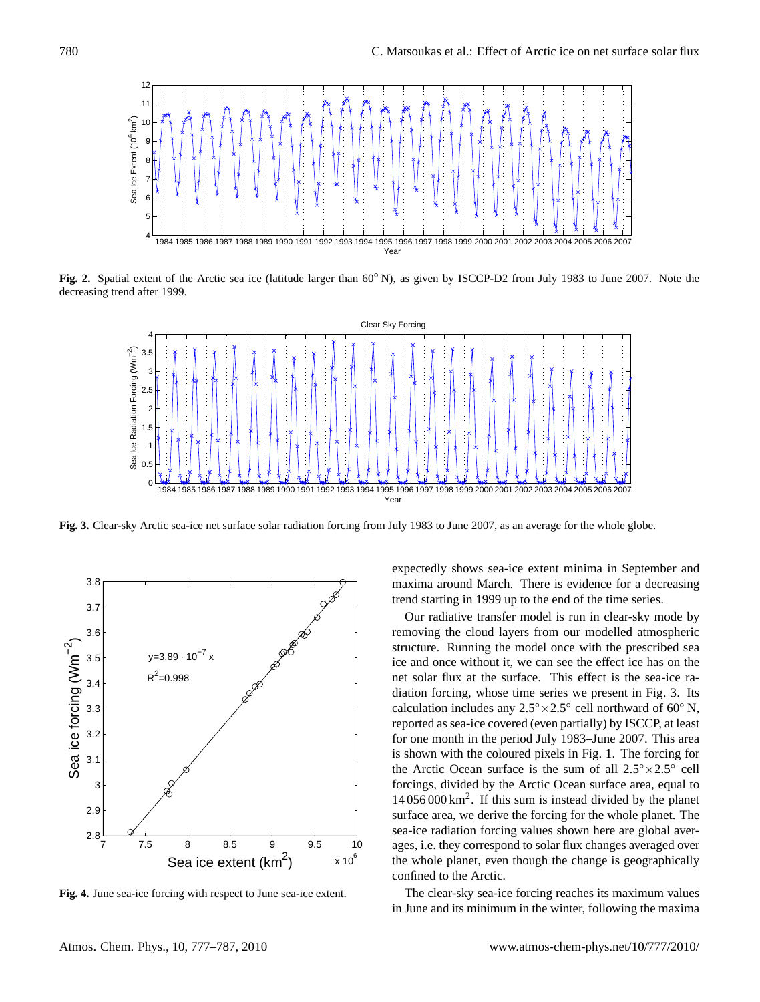

<span id="page-3-0"></span>**Fig. 2.** Spatial extent of the Arctic sea ice (latitude larger than 60◦ N), as given by ISCCP-D2 from July 1983 to June 2007. Note the decreasing trend after 1999.



<span id="page-3-1"></span>**Fig. 3.** Clear-sky Arctic sea-ice net surface solar radiation forcing from July 1983 to June 2007, as an average for the whole globe.



<span id="page-3-2"></span>**Fig. 4.** June sea-ice forcing with respect to June sea-ice extent.

expectedly shows sea-ice extent minima in September and maxima around March. There is evidence for a decreasing trend starting in 1999 up to the end of the time series.

Our radiative transfer model is run in clear-sky mode by removing the cloud layers from our modelled atmospheric structure. Running the model once with the prescribed sea ice and once without it, we can see the effect ice has on the net solar flux at the surface. This effect is the sea-ice radiation forcing, whose time series we present in Fig. [3.](#page-3-1) Its calculation includes any  $2.5^\circ \times 2.5^\circ$  cell northward of 60 $^\circ$  N, reported as sea-ice covered (even partially) by ISCCP, at least for one month in the period July 1983–June 2007. This area is shown with the coloured pixels in Fig. [1.](#page-2-0) The forcing for the Arctic Ocean surface is the sum of all  $2.5° \times 2.5°$  cell forcings, divided by the Arctic Ocean surface area, equal to 14 056 000 km<sup>2</sup> . If this sum is instead divided by the planet surface area, we derive the forcing for the whole planet. The sea-ice radiation forcing values shown here are global averages, i.e. they correspond to solar flux changes averaged over the whole planet, even though the change is geographically confined to the Arctic.

The clear-sky sea-ice forcing reaches its maximum values in June and its minimum in the winter, following the maxima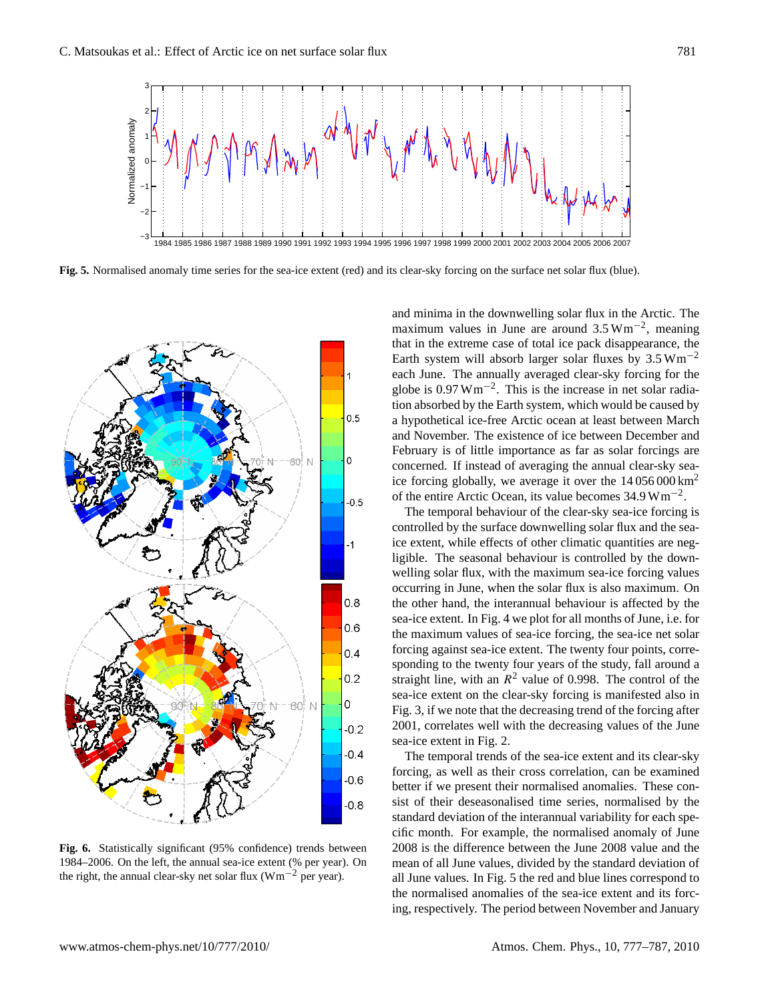

<span id="page-4-0"></span>**Fig. 5.** Normalised anomaly time series for the sea-ice extent (red) and its clear-sky forcing on the surface net solar flux (blue).



<span id="page-4-1"></span>**Fig. 6.** Statistically significant (95% confidence) trends between 1984–2006. On the left, the annual sea-ice extent (% per year). On the right, the annual clear-sky net solar flux ( $Wm^{-2}$  per year).

and minima in the downwelling solar flux in the Arctic. The maximum values in June are around 3.5 Wm−<sup>2</sup> , meaning that in the extreme case of total ice pack disappearance, the Earth system will absorb larger solar fluxes by  $3.5 \text{ Wm}^{-2}$ each June. The annually averaged clear-sky forcing for the globe is 0.97 Wm<sup>-2</sup>. This is the increase in net solar radiation absorbed by the Earth system, which would be caused by a hypothetical ice-free Arctic ocean at least between March and November. The existence of ice between December and February is of little importance as far as solar forcings are concerned. If instead of averaging the annual clear-sky seaice forcing globally, we average it over the  $14\,056\,000\,\mathrm{km^2}$ of the entire Arctic Ocean, its value becomes 34.9 Wm−<sup>2</sup> .

The temporal behaviour of the clear-sky sea-ice forcing is controlled by the surface downwelling solar flux and the seaice extent, while effects of other climatic quantities are negligible. The seasonal behaviour is controlled by the downwelling solar flux, with the maximum sea-ice forcing values occurring in June, when the solar flux is also maximum. On the other hand, the interannual behaviour is affected by the sea-ice extent. In Fig. [4](#page-3-2) we plot for all months of June, i.e. for the maximum values of sea-ice forcing, the sea-ice net solar forcing against sea-ice extent. The twenty four points, corresponding to the twenty four years of the study, fall around a straight line, with an  $R^2$  value of 0.998. The control of the sea-ice extent on the clear-sky forcing is manifested also in Fig. [3,](#page-3-1) if we note that the decreasing trend of the forcing after 2001, correlates well with the decreasing values of the June sea-ice extent in Fig. [2.](#page-3-0)

The temporal trends of the sea-ice extent and its clear-sky forcing, as well as their cross correlation, can be examined better if we present their normalised anomalies. These consist of their deseasonalised time series, normalised by the standard deviation of the interannual variability for each specific month. For example, the normalised anomaly of June 2008 is the difference between the June 2008 value and the mean of all June values, divided by the standard deviation of all June values. In Fig. [5](#page-4-0) the red and blue lines correspond to the normalised anomalies of the sea-ice extent and its forcing, respectively. The period between November and January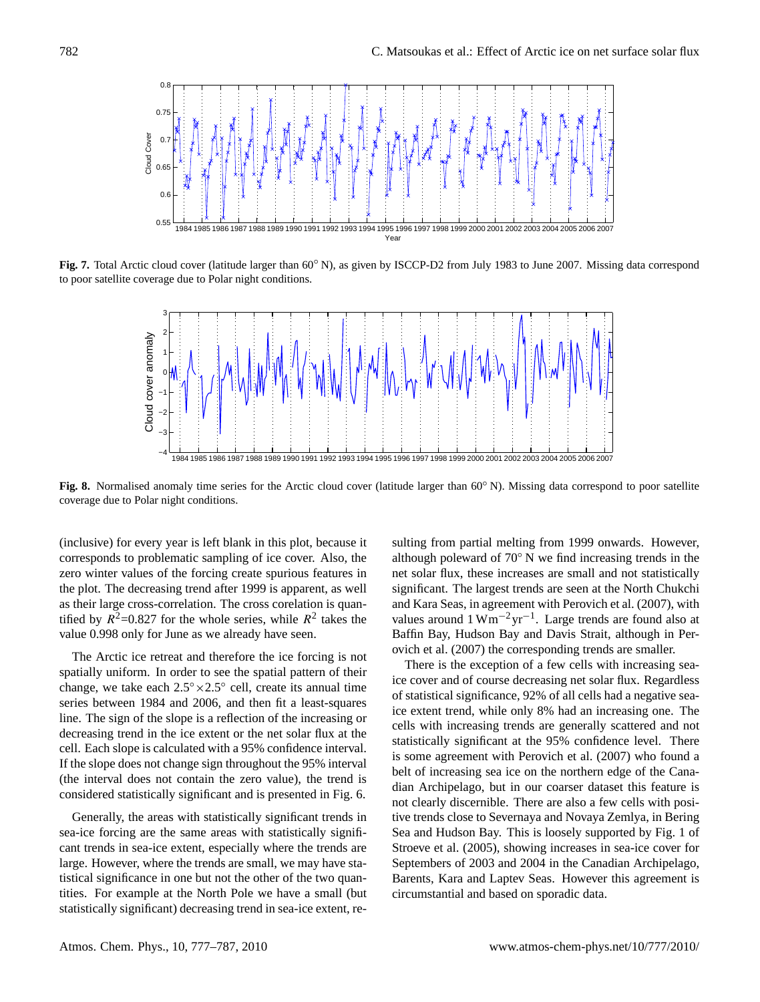

<span id="page-5-0"></span>**Fig. 7.** Total Arctic cloud cover (latitude larger than 60◦ N), as given by ISCCP-D2 from July 1983 to June 2007. Missing data correspond to poor satellite coverage due to Polar night conditions.



<span id="page-5-1"></span>**Fig. 8.** Normalised anomaly time series for the Arctic cloud cover (latitude larger than 60◦ N). Missing data correspond to poor satellite coverage due to Polar night conditions.

(inclusive) for every year is left blank in this plot, because it corresponds to problematic sampling of ice cover. Also, the zero winter values of the forcing create spurious features in the plot. The decreasing trend after 1999 is apparent, as well as their large cross-correlation. The cross corelation is quantified by  $R^2$ =0.827 for the whole series, while  $R^2$  takes the value 0.998 only for June as we already have seen.

The Arctic ice retreat and therefore the ice forcing is not spatially uniform. In order to see the spatial pattern of their change, we take each  $2.5^{\circ} \times 2.5^{\circ}$  cell, create its annual time series between 1984 and 2006, and then fit a least-squares line. The sign of the slope is a reflection of the increasing or decreasing trend in the ice extent or the net solar flux at the cell. Each slope is calculated with a 95% confidence interval. If the slope does not change sign throughout the 95% interval (the interval does not contain the zero value), the trend is considered statistically significant and is presented in Fig. [6.](#page-4-1)

Generally, the areas with statistically significant trends in sea-ice forcing are the same areas with statistically significant trends in sea-ice extent, especially where the trends are large. However, where the trends are small, we may have statistical significance in one but not the other of the two quantities. For example at the North Pole we have a small (but statistically significant) decreasing trend in sea-ice extent, resulting from partial melting from 1999 onwards. However, although poleward of 70◦ N we find increasing trends in the net solar flux, these increases are small and not statistically significant. The largest trends are seen at the North Chukchi and Kara Seas, in agreement with [Perovich et al.](#page-10-11) [\(2007\)](#page-10-11), with values around 1 Wm−<sup>2</sup> yr−<sup>1</sup> . Large trends are found also at Baffin Bay, Hudson Bay and Davis Strait, although in [Per](#page-10-11)[ovich et al.](#page-10-11) [\(2007\)](#page-10-11) the corresponding trends are smaller.

There is the exception of a few cells with increasing seaice cover and of course decreasing net solar flux. Regardless of statistical significance, 92% of all cells had a negative seaice extent trend, while only 8% had an increasing one. The cells with increasing trends are generally scattered and not statistically significant at the 95% confidence level. There is some agreement with [Perovich et al.](#page-10-11) [\(2007\)](#page-10-11) who found a belt of increasing sea ice on the northern edge of the Canadian Archipelago, but in our coarser dataset this feature is not clearly discernible. There are also a few cells with positive trends close to Severnaya and Novaya Zemlya, in Bering Sea and Hudson Bay. This is loosely supported by Fig. 1 of [Stroeve et al.](#page-10-24) [\(2005\)](#page-10-24), showing increases in sea-ice cover for Septembers of 2003 and 2004 in the Canadian Archipelago, Barents, Kara and Laptev Seas. However this agreement is circumstantial and based on sporadic data.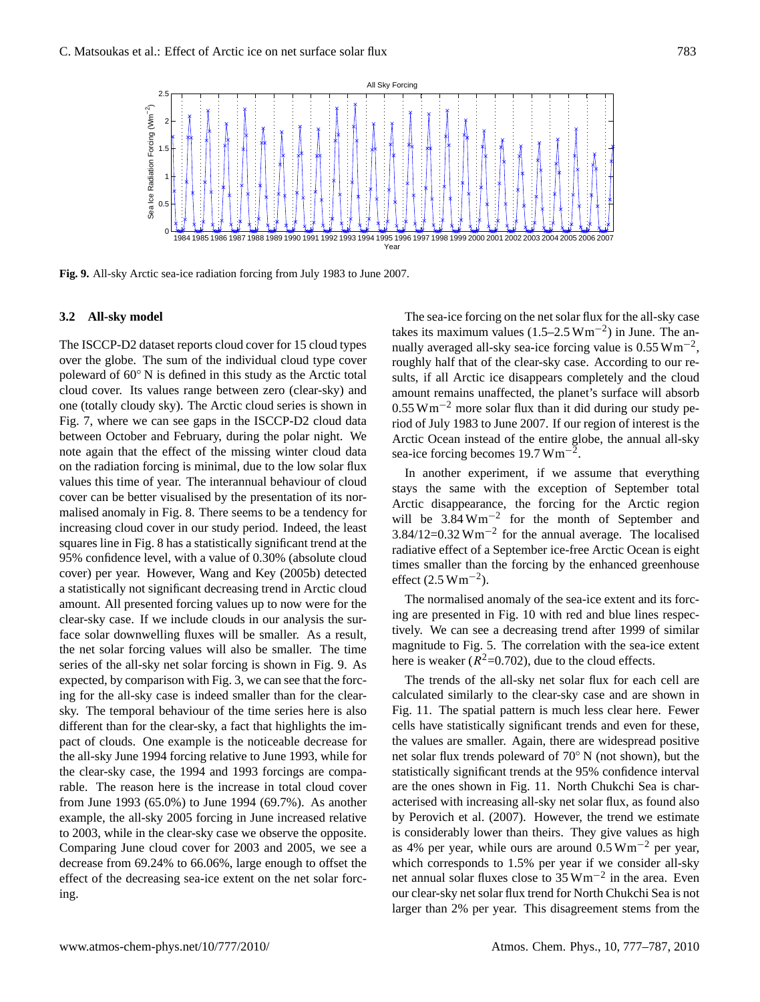

<span id="page-6-1"></span>**Fig. 9.** All-sky Arctic sea-ice radiation forcing from July 1983 to June 2007.

#### <span id="page-6-0"></span>**3.2 All-sky model**

The ISCCP-D2 dataset reports cloud cover for 15 cloud types over the globe. The sum of the individual cloud type cover poleward of 60◦ N is defined in this study as the Arctic total cloud cover. Its values range between zero (clear-sky) and one (totally cloudy sky). The Arctic cloud series is shown in Fig. [7,](#page-5-0) where we can see gaps in the ISCCP-D2 cloud data between October and February, during the polar night. We note again that the effect of the missing winter cloud data on the radiation forcing is minimal, due to the low solar flux values this time of year. The interannual behaviour of cloud cover can be better visualised by the presentation of its normalised anomaly in Fig. [8.](#page-5-1) There seems to be a tendency for increasing cloud cover in our study period. Indeed, the least squares line in Fig. [8](#page-5-1) has a statistically significant trend at the 95% confidence level, with a value of 0.30% (absolute cloud cover) per year. However, [Wang and Key](#page-10-10) [\(2005b\)](#page-10-10) detected a statistically not significant decreasing trend in Arctic cloud amount. All presented forcing values up to now were for the clear-sky case. If we include clouds in our analysis the surface solar downwelling fluxes will be smaller. As a result, the net solar forcing values will also be smaller. The time series of the all-sky net solar forcing is shown in Fig. [9.](#page-6-1) As expected, by comparison with Fig. [3,](#page-3-1) we can see that the forcing for the all-sky case is indeed smaller than for the clearsky. The temporal behaviour of the time series here is also different than for the clear-sky, a fact that highlights the impact of clouds. One example is the noticeable decrease for the all-sky June 1994 forcing relative to June 1993, while for the clear-sky case, the 1994 and 1993 forcings are comparable. The reason here is the increase in total cloud cover from June 1993 (65.0%) to June 1994 (69.7%). As another example, the all-sky 2005 forcing in June increased relative to 2003, while in the clear-sky case we observe the opposite. Comparing June cloud cover for 2003 and 2005, we see a decrease from 69.24% to 66.06%, large enough to offset the effect of the decreasing sea-ice extent on the net solar forcing.

The sea-ice forcing on the net solar flux for the all-sky case takes its maximum values  $(1.5-2.5 \text{ Wm}^{-2})$  in June. The annually averaged all-sky sea-ice forcing value is  $0.55 \text{ Wm}^{-2}$ , roughly half that of the clear-sky case. According to our results, if all Arctic ice disappears completely and the cloud amount remains unaffected, the planet's surface will absorb  $0.55 \text{ Wm}^{-2}$  more solar flux than it did during our study period of July 1983 to June 2007. If our region of interest is the Arctic Ocean instead of the entire globe, the annual all-sky sea-ice forcing becomes  $19.7 \text{ Wm}^{-2}$ .

In another experiment, if we assume that everything stays the same with the exception of September total Arctic disappearance, the forcing for the Arctic region will be 3.84 Wm<sup>-2</sup> for the month of September and 3.84/12=0.32 Wm−<sup>2</sup> for the annual average. The localised radiative effect of a September ice-free Arctic Ocean is eight times smaller than the forcing by the enhanced greenhouse effect  $(2.5 \text{ Wm}^{-2})$ .

The normalised anomaly of the sea-ice extent and its forcing are presented in Fig. [10](#page-7-1) with red and blue lines respectively. We can see a decreasing trend after 1999 of similar magnitude to Fig. [5.](#page-4-0) The correlation with the sea-ice extent here is weaker ( $R^2$ =0.702), due to the cloud effects.

The trends of the all-sky net solar flux for each cell are calculated similarly to the clear-sky case and are shown in Fig. [11.](#page-7-2) The spatial pattern is much less clear here. Fewer cells have statistically significant trends and even for these, the values are smaller. Again, there are widespread positive net solar flux trends poleward of 70◦ N (not shown), but the statistically significant trends at the 95% confidence interval are the ones shown in Fig. [11.](#page-7-2) North Chukchi Sea is characterised with increasing all-sky net solar flux, as found also by [Perovich et al.](#page-10-11) [\(2007\)](#page-10-11). However, the trend we estimate is considerably lower than theirs. They give values as high as 4% per year, while ours are around 0.5 Wm−<sup>2</sup> per year, which corresponds to 1.5% per year if we consider all-sky net annual solar fluxes close to 35 Wm−<sup>2</sup> in the area. Even our clear-sky net solar flux trend for North Chukchi Sea is not larger than 2% per year. This disagreement stems from the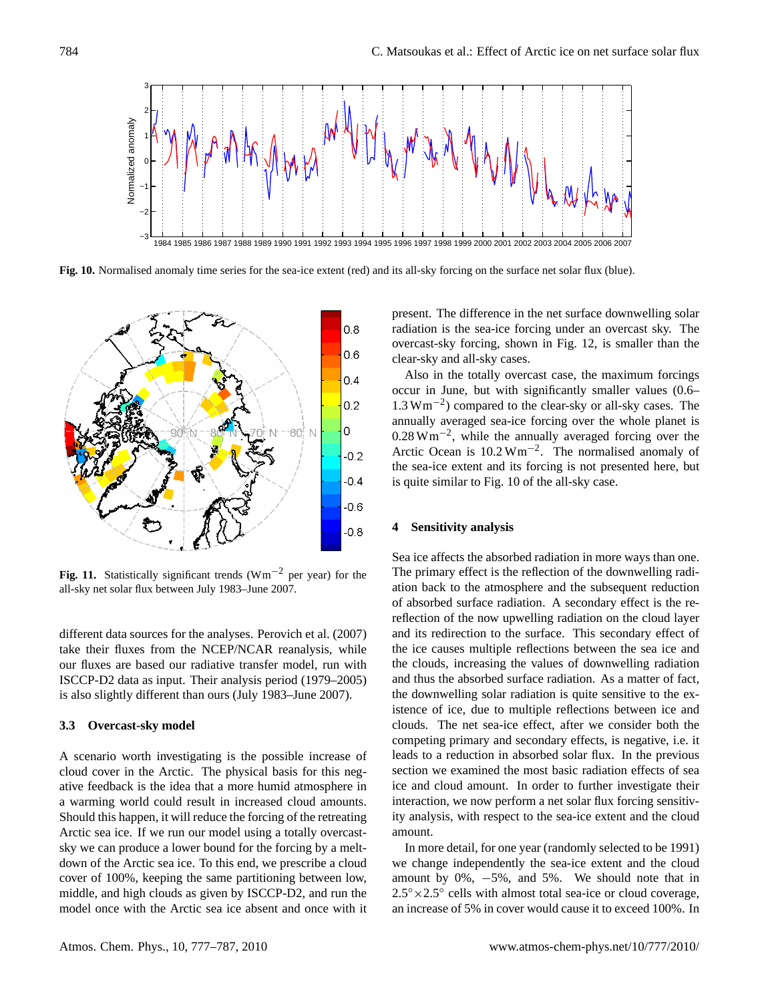

<span id="page-7-1"></span>**Fig. 10.** Normalised anomaly time series for the sea-ice extent (red) and its all-sky forcing on the surface net solar flux (blue).



<span id="page-7-2"></span>**Fig. 11.** Statistically significant trends (Wm−<sup>2</sup> per year) for the all-sky net solar flux between July 1983–June 2007.

different data sources for the analyses. [Perovich et al.](#page-10-11) [\(2007\)](#page-10-11) take their fluxes from the NCEP/NCAR reanalysis, while our fluxes are based our radiative transfer model, run with ISCCP-D2 data as input. Their analysis period (1979–2005) is also slightly different than ours (July 1983–June 2007).

# <span id="page-7-0"></span>**3.3 Overcast-sky model**

A scenario worth investigating is the possible increase of cloud cover in the Arctic. The physical basis for this negative feedback is the idea that a more humid atmosphere in a warming world could result in increased cloud amounts. Should this happen, it will reduce the forcing of the retreating Arctic sea ice. If we run our model using a totally overcastsky we can produce a lower bound for the forcing by a meltdown of the Arctic sea ice. To this end, we prescribe a cloud cover of 100%, keeping the same partitioning between low, middle, and high clouds as given by ISCCP-D2, and run the model once with the Arctic sea ice absent and once with it

present. The difference in the net surface downwelling solar radiation is the sea-ice forcing under an overcast sky. The overcast-sky forcing, shown in Fig. [12,](#page-8-0) is smaller than the clear-sky and all-sky cases.

Also in the totally overcast case, the maximum forcings occur in June, but with significantly smaller values (0.6– 1.3 Wm−<sup>2</sup> ) compared to the clear-sky or all-sky cases. The annually averaged sea-ice forcing over the whole planet is 0.28 Wm−<sup>2</sup> , while the annually averaged forcing over the Arctic Ocean is 10.2 Wm−<sup>2</sup> . The normalised anomaly of the sea-ice extent and its forcing is not presented here, but is quite similar to Fig. [10](#page-7-1) of the all-sky case.

#### **4 Sensitivity analysis**

Sea ice affects the absorbed radiation in more ways than one. The primary effect is the reflection of the downwelling radiation back to the atmosphere and the subsequent reduction of absorbed surface radiation. A secondary effect is the rereflection of the now upwelling radiation on the cloud layer and its redirection to the surface. This secondary effect of the ice causes multiple reflections between the sea ice and the clouds, increasing the values of downwelling radiation and thus the absorbed surface radiation. As a matter of fact, the downwelling solar radiation is quite sensitive to the existence of ice, due to multiple reflections between ice and clouds. The net sea-ice effect, after we consider both the competing primary and secondary effects, is negative, i.e. it leads to a reduction in absorbed solar flux. In the previous section we examined the most basic radiation effects of sea ice and cloud amount. In order to further investigate their interaction, we now perform a net solar flux forcing sensitivity analysis, with respect to the sea-ice extent and the cloud amount.

In more detail, for one year (randomly selected to be 1991) we change independently the sea-ice extent and the cloud amount by  $0\%, -5\%,$  and  $5\%$ . We should note that in  $2.5^\circ \times 2.5^\circ$  cells with almost total sea-ice or cloud coverage, an increase of 5% in cover would cause it to exceed 100%. In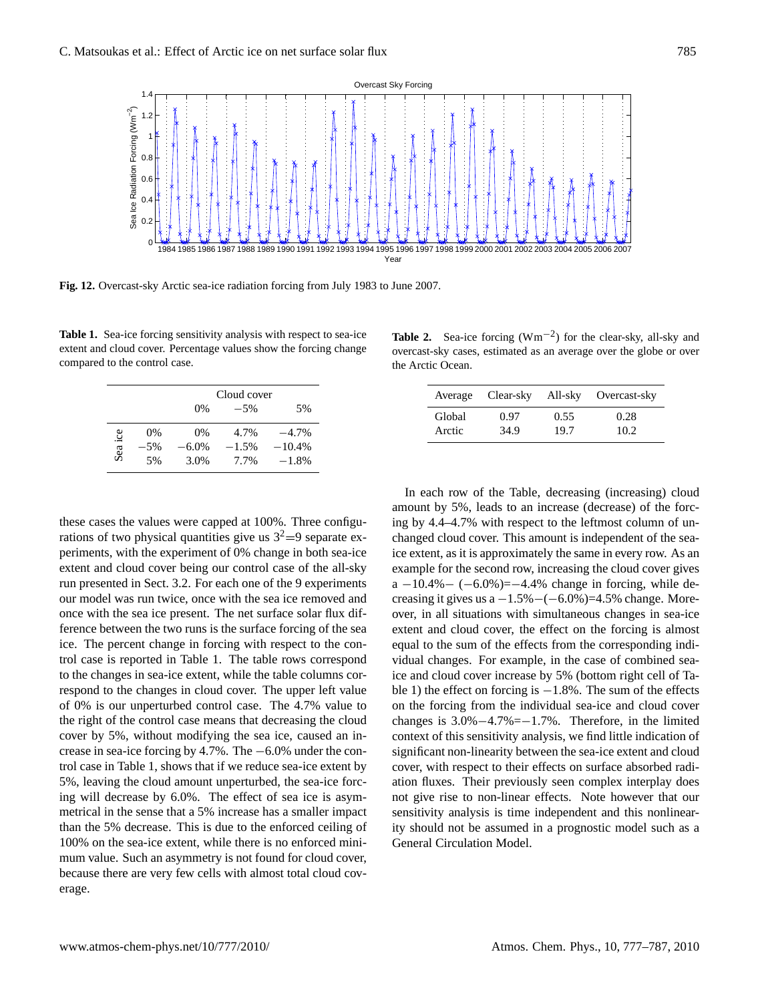

<span id="page-8-0"></span>**Fig. 12.** Overcast-sky Arctic sea-ice radiation forcing from July 1983 to June 2007.

<span id="page-8-1"></span>**Table 1.** Sea-ice forcing sensitivity analysis with respect to sea-ice extent and cloud cover. Percentage values show the forcing change compared to the control case.

|         |       | Cloud cover |         |          |
|---------|-------|-------------|---------|----------|
|         |       | $0\%$       | $-5%$   | 5%       |
|         | $0\%$ | $0\%$       | 4.7%    | $-4.7%$  |
| Sea ice | -5%   | $-6.0%$     | $-1.5%$ | $-10.4%$ |
|         | 5%    | 3.0%        | 7.7%    | $-1.8%$  |

these cases the values were capped at 100%. Three configurations of two physical quantities give us  $3^2=9$  separate experiments, with the experiment of 0% change in both sea-ice extent and cloud cover being our control case of the all-sky run presented in Sect. [3.2.](#page-6-0) For each one of the 9 experiments our model was run twice, once with the sea ice removed and once with the sea ice present. The net surface solar flux difference between the two runs is the surface forcing of the sea ice. The percent change in forcing with respect to the control case is reported in Table [1.](#page-8-1) The table rows correspond to the changes in sea-ice extent, while the table columns correspond to the changes in cloud cover. The upper left value of 0% is our unperturbed control case. The 4.7% value to the right of the control case means that decreasing the cloud cover by 5%, without modifying the sea ice, caused an increase in sea-ice forcing by 4.7%. The −6.0% under the control case in Table [1,](#page-8-1) shows that if we reduce sea-ice extent by 5%, leaving the cloud amount unperturbed, the sea-ice forcing will decrease by 6.0%. The effect of sea ice is asymmetrical in the sense that a 5% increase has a smaller impact than the 5% decrease. This is due to the enforced ceiling of 100% on the sea-ice extent, while there is no enforced minimum value. Such an asymmetry is not found for cloud cover, because there are very few cells with almost total cloud coverage.

<span id="page-8-2"></span>**Table 2.** Sea-ice forcing  $(Wm^{-2})$  for the clear-sky, all-sky and overcast-sky cases, estimated as an average over the globe or over the Arctic Ocean.

| Average | Clear-sky | All-sky | Overcast-sky |
|---------|-----------|---------|--------------|
| Global  | 0.97      | 0.55    | 0.28         |
| Arctic  | 34.9      | 19.7    | 10.2.        |

In each row of the Table, decreasing (increasing) cloud amount by 5%, leads to an increase (decrease) of the forcing by 4.4–4.7% with respect to the leftmost column of unchanged cloud cover. This amount is independent of the seaice extent, as it is approximately the same in every row. As an example for the second row, increasing the cloud cover gives a  $-10.4\% - (-6.0\%) = -4.4\%$  change in forcing, while decreasing it gives us a  $-1.5\% - (-6.0\%) = 4.5\%$  change. Moreover, in all situations with simultaneous changes in sea-ice extent and cloud cover, the effect on the forcing is almost equal to the sum of the effects from the corresponding individual changes. For example, in the case of combined seaice and cloud cover increase by 5% (bottom right cell of Ta-ble [1\)](#page-8-1) the effect on forcing is  $-1.8\%$ . The sum of the effects on the forcing from the individual sea-ice and cloud cover changes is 3.0%−4.7%=−1.7%. Therefore, in the limited context of this sensitivity analysis, we find little indication of significant non-linearity between the sea-ice extent and cloud cover, with respect to their effects on surface absorbed radiation fluxes. Their previously seen complex interplay does not give rise to non-linear effects. Note however that our sensitivity analysis is time independent and this nonlinearity should not be assumed in a prognostic model such as a General Circulation Model.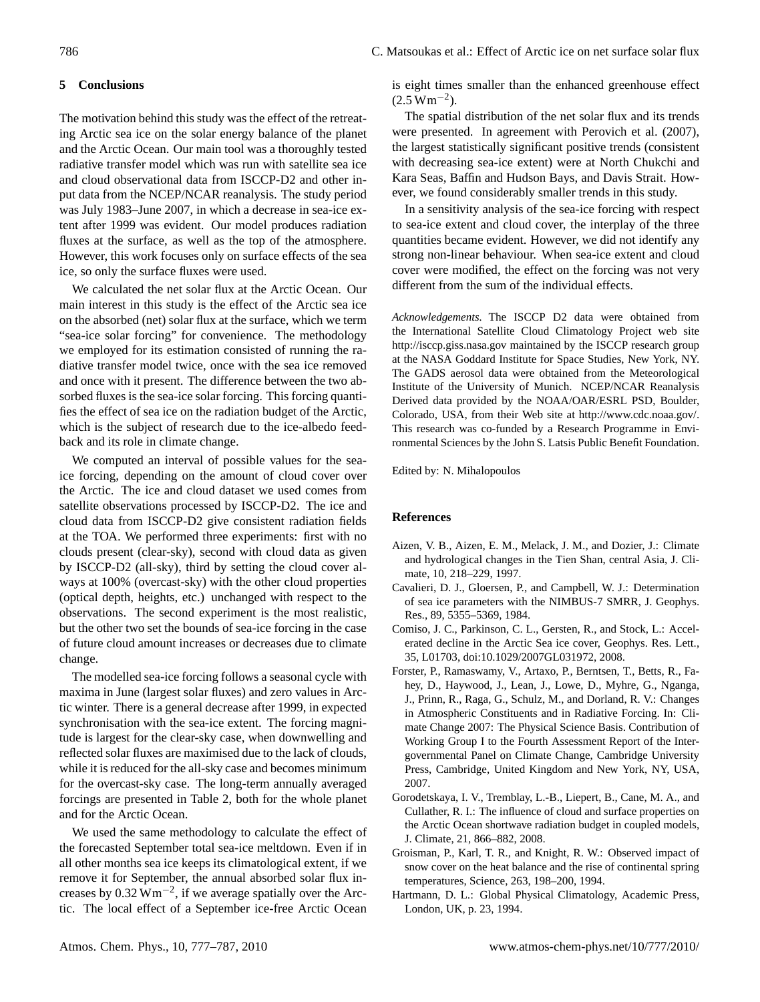The motivation behind this study was the effect of the retreating Arctic sea ice on the solar energy balance of the planet and the Arctic Ocean. Our main tool was a thoroughly tested radiative transfer model which was run with satellite sea ice and cloud observational data from ISCCP-D2 and other input data from the NCEP/NCAR reanalysis. The study period was July 1983–June 2007, in which a decrease in sea-ice extent after 1999 was evident. Our model produces radiation fluxes at the surface, as well as the top of the atmosphere. However, this work focuses only on surface effects of the sea ice, so only the surface fluxes were used.

We calculated the net solar flux at the Arctic Ocean. Our main interest in this study is the effect of the Arctic sea ice on the absorbed (net) solar flux at the surface, which we term "sea-ice solar forcing" for convenience. The methodology we employed for its estimation consisted of running the radiative transfer model twice, once with the sea ice removed and once with it present. The difference between the two absorbed fluxes is the sea-ice solar forcing. This forcing quantifies the effect of sea ice on the radiation budget of the Arctic, which is the subject of research due to the ice-albedo feedback and its role in climate change.

We computed an interval of possible values for the seaice forcing, depending on the amount of cloud cover over the Arctic. The ice and cloud dataset we used comes from satellite observations processed by ISCCP-D2. The ice and cloud data from ISCCP-D2 give consistent radiation fields at the TOA. We performed three experiments: first with no clouds present (clear-sky), second with cloud data as given by ISCCP-D2 (all-sky), third by setting the cloud cover always at 100% (overcast-sky) with the other cloud properties (optical depth, heights, etc.) unchanged with respect to the observations. The second experiment is the most realistic, but the other two set the bounds of sea-ice forcing in the case of future cloud amount increases or decreases due to climate change.

The modelled sea-ice forcing follows a seasonal cycle with maxima in June (largest solar fluxes) and zero values in Arctic winter. There is a general decrease after 1999, in expected synchronisation with the sea-ice extent. The forcing magnitude is largest for the clear-sky case, when downwelling and reflected solar fluxes are maximised due to the lack of clouds, while it is reduced for the all-sky case and becomes minimum for the overcast-sky case. The long-term annually averaged forcings are presented in Table [2,](#page-8-2) both for the whole planet and for the Arctic Ocean.

We used the same methodology to calculate the effect of the forecasted September total sea-ice meltdown. Even if in all other months sea ice keeps its climatological extent, if we remove it for September, the annual absorbed solar flux increases by 0.32  $\text{Wm}^{-2}$ , if we average spatially over the Arctic. The local effect of a September ice-free Arctic Ocean

is eight times smaller than the enhanced greenhouse effect  $(2.5 Wm^{-2})$ .

The spatial distribution of the net solar flux and its trends were presented. In agreement with [Perovich et al.](#page-10-11) [\(2007\)](#page-10-11), the largest statistically significant positive trends (consistent with decreasing sea-ice extent) were at North Chukchi and Kara Seas, Baffin and Hudson Bays, and Davis Strait. However, we found considerably smaller trends in this study.

In a sensitivity analysis of the sea-ice forcing with respect to sea-ice extent and cloud cover, the interplay of the three quantities became evident. However, we did not identify any strong non-linear behaviour. When sea-ice extent and cloud cover were modified, the effect on the forcing was not very different from the sum of the individual effects.

*Acknowledgements.* The ISCCP D2 data were obtained from the International Satellite Cloud Climatology Project web site <http://isccp.giss.nasa.gov> maintained by the ISCCP research group at the NASA Goddard Institute for Space Studies, New York, NY. The GADS aerosol data were obtained from the Meteorological Institute of the University of Munich. NCEP/NCAR Reanalysis Derived data provided by the NOAA/OAR/ESRL PSD, Boulder, Colorado, USA, from their Web site at [http://www.cdc.noaa.gov/.](http://www.cdc.noaa.gov/) This research was co-funded by a Research Programme in Environmental Sciences by the John S. Latsis Public Benefit Foundation.

Edited by: N. Mihalopoulos

### **References**

- <span id="page-9-2"></span>Aizen, V. B., Aizen, E. M., Melack, J. M., and Dozier, J.: Climate and hydrological changes in the Tien Shan, central Asia, J. Climate, 10, 218–229, 1997.
- <span id="page-9-6"></span>Cavalieri, D. J., Gloersen, P., and Campbell, W. J.: Determination of sea ice parameters with the NIMBUS-7 SMRR, J. Geophys. Res., 89, 5355–5369, 1984.
- <span id="page-9-0"></span>Comiso, J. C., Parkinson, C. L., Gersten, R., and Stock, L.: Accelerated decline in the Arctic Sea ice cover, Geophys. Res. Lett., 35, L01703, doi:10.1029/2007GL031972, 2008.
- <span id="page-9-1"></span>Forster, P., Ramaswamy, V., Artaxo, P., Berntsen, T., Betts, R., Fahey, D., Haywood, J., Lean, J., Lowe, D., Myhre, G., Nganga, J., Prinn, R., Raga, G., Schulz, M., and Dorland, R. V.: Changes in Atmospheric Constituents and in Radiative Forcing. In: Climate Change 2007: The Physical Science Basis. Contribution of Working Group I to the Fourth Assessment Report of the Intergovernmental Panel on Climate Change, Cambridge University Press, Cambridge, United Kingdom and New York, NY, USA, 2007.
- <span id="page-9-4"></span>Gorodetskaya, I. V., Tremblay, L.-B., Liepert, B., Cane, M. A., and Cullather, R. I.: The influence of cloud and surface properties on the Arctic Ocean shortwave radiation budget in coupled models, J. Climate, 21, 866–882, 2008.
- <span id="page-9-3"></span>Groisman, P., Karl, T. R., and Knight, R. W.: Observed impact of snow cover on the heat balance and the rise of continental spring temperatures, Science, 263, 198–200, 1994.
- <span id="page-9-5"></span>Hartmann, D. L.: Global Physical Climatology, Academic Press, London, UK, p. 23, 1994.